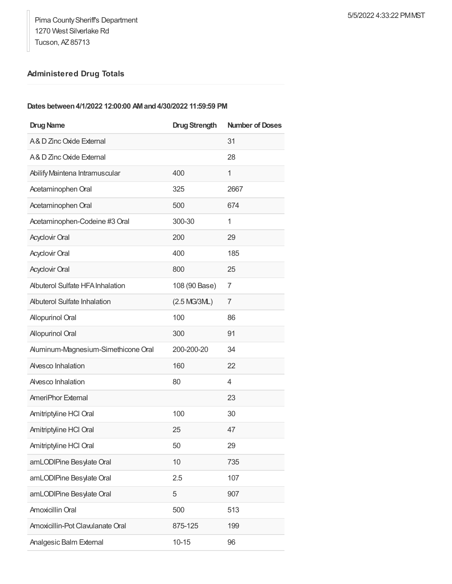## **Administered Drug Totals**

## **Dates between4/1/2022 12:00:00 AMand4/30/2022 11:59:59 PM**

| <b>Drug Name</b>                   | <b>Drug Strength</b> | <b>Number of Doses</b> |
|------------------------------------|----------------------|------------------------|
| A& D Zinc Oxide External           |                      | 31                     |
| A& D Zinc Oxide External           |                      | 28                     |
| Abilify Maintena Intramuscular     | 400                  | 1                      |
| Acetaminophen Oral                 | 325                  | 2667                   |
| Acetaminophen Oral                 | 500                  | 674                    |
| Acetaminophen-Codeine #3 Oral      | 300-30               | 1                      |
| <b>Acyclovir Oral</b>              | 200                  | 29                     |
| <b>Acyclovir Oral</b>              | 400                  | 185                    |
| <b>Acyclovir Oral</b>              | 800                  | 25                     |
| Albuterol Sulfate HFA Inhalation   | 108 (90 Base)        | 7                      |
| <b>Abuterol Sulfate Inhalation</b> | (2.5 MG/3ML)         | 7                      |
| <b>Allopurinol Oral</b>            | 100                  | 86                     |
| <b>Allopurinol Oral</b>            | 300                  | 91                     |
| Auminum-Magnesium-Simethicone Oral | 200-200-20           | 34                     |
| Alvesco Inhalation                 | 160                  | 22                     |
| Alvesco Inhalation                 | 80                   | 4                      |
| <b>AmeriPhor External</b>          |                      | 23                     |
| Amitriptyline HCl Oral             | 100                  | 30                     |
| Amitriptyline HCl Oral             | 25                   | 47                     |
| Amitriptyline HCI Oral             | 50                   | 29                     |
| amLODIPine Besylate Oral           | 10                   | 735                    |
| amLODIPine Besylate Oral           | 2.5                  | 107                    |
| amLODIPine Besylate Oral           | 5                    | 907                    |
| Amoxicillin Oral                   | 500                  | 513                    |
| Amoxicillin-Pot Clavulanate Oral   | 875-125              | 199                    |
| <b>Analgesic Balm External</b>     | $10 - 15$            | 96                     |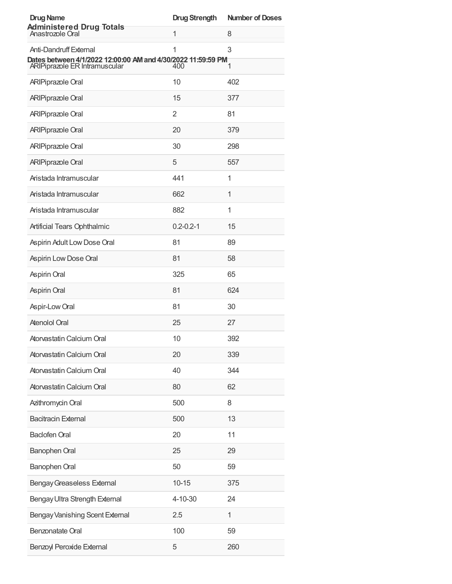| <b>Drug Name</b>                                                                              | <b>Drug Strength</b> | <b>Number of Doses</b> |
|-----------------------------------------------------------------------------------------------|----------------------|------------------------|
| <b>Administered Drug Totals</b><br>Anastrozole Oral                                           | 1                    | 8                      |
| Anti-Dandruff External                                                                        | 1                    | 3                      |
| Dates between 4/1/2022 12:00:00 AM and 4/30/2022 11:59:59 PM<br>ARIPiprazole ER Intramuscular | 400                  | 1                      |
| <b>ARIPiprazole Oral</b>                                                                      | 10                   | 402                    |
| <b>ARIPiprazole Oral</b>                                                                      | 15                   | 377                    |
| <b>ARIPiprazole Oral</b>                                                                      | 2                    | 81                     |
| <b>ARIPiprazole Oral</b>                                                                      | 20                   | 379                    |
| <b>ARIPiprazole Oral</b>                                                                      | 30                   | 298                    |
| <b>ARIPiprazole Oral</b>                                                                      | 5                    | 557                    |
| Aristada Intramuscular                                                                        | 441                  | 1                      |
| Aristada Intramuscular                                                                        | 662                  | 1                      |
| Aristada Intramuscular                                                                        | 882                  | 1                      |
| Artificial Tears Ophthalmic                                                                   | $0.2 - 0.2 - 1$      | 15                     |
| Aspirin Adult Low Dose Oral                                                                   | 81                   | 89                     |
| Aspirin Low Dose Oral                                                                         | 81                   | 58                     |
| Aspirin Oral                                                                                  | 325                  | 65                     |
| Aspirin Oral                                                                                  | 81                   | 624                    |
| Aspir-Low Oral                                                                                | 81                   | 30                     |
| <b>Atenolol Oral</b>                                                                          | 25                   | 27                     |
| Atorvastatin Calcium Oral                                                                     | 10                   | 392                    |
| Atorvastatin Calcium Oral                                                                     | 20                   | 339                    |
| Atorvastatin Calcium Oral                                                                     | 40                   | 344                    |
| Atorvastatin Calcium Oral                                                                     | 80                   | 62                     |
| Azithromycin Oral                                                                             | 500                  | 8                      |
| <b>Bacitracin External</b>                                                                    | 500                  | 13                     |
| <b>Baclofen Oral</b>                                                                          | 20                   | 11                     |
| Banophen Oral                                                                                 | 25                   | 29                     |
| Banophen Oral                                                                                 | 50                   | 59                     |
| <b>Bengay Greaseless External</b>                                                             | $10 - 15$            | 375                    |
| Bengay Ultra Strength External                                                                | 4-10-30              | 24                     |
| Bengay Vanishing Scent External                                                               | 2.5                  | $\mathbf{1}$           |
| Benzonatate Oral                                                                              | 100                  | 59                     |
| Benzoyl Peroxide External                                                                     | 5                    | 260                    |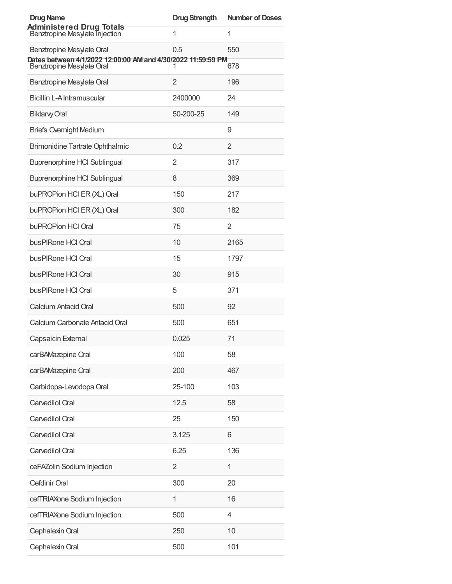| <b>Drug Name</b>                                                                          | <b>Drug Strength</b> | <b>Number of Doses</b> |
|-------------------------------------------------------------------------------------------|----------------------|------------------------|
| <b>Administered Drug Totals</b><br>Benztropine Mesylate Injection                         | 1                    | 1                      |
| Benztropine Mesylate Oral                                                                 | 0.5                  | 550                    |
| Dates between 4/1/2022 12:00:00 AM and 4/30/2022 11:59:59 PM<br>Benztropine Mesylate Oral |                      | 678                    |
| Benztropine Mesylate Oral                                                                 | 2                    | 196                    |
| Bicillin L-A Intramuscular                                                                | 2400000              | 24                     |
| <b>Biktarvy Oral</b>                                                                      | 50-200-25            | 149                    |
| <b>Briefs Overnight Medium</b>                                                            |                      | 9                      |
| <b>Brimonidine Tartrate Ophthalmic</b>                                                    | 0.2                  | $\overline{2}$         |
| <b>Buprenorphine HCI Sublingual</b>                                                       | 2                    | 317                    |
| <b>Buprenorphine HCI Sublingual</b>                                                       | 8                    | 369                    |
| buPROPion HCI ER (XL) Oral                                                                | 150                  | 217                    |
| buPROPion HCI ER (XL) Oral                                                                | 300                  | 182                    |
| buPROPion HCI Oral                                                                        | 75                   | 2                      |
| bus PIRone HCI Oral                                                                       | 10                   | 2165                   |
| bus PIRone HCI Oral                                                                       | 15                   | 1797                   |
| bus PIRone HCI Oral                                                                       | 30                   | 915                    |
| bus PIRone HCI Oral                                                                       | 5                    | 371                    |
| Calcium Antacid Oral                                                                      | 500                  | 92                     |
| Calcium Carbonate Antacid Oral                                                            | 500                  | 651                    |
| Capsaicin External                                                                        | 0.025                | 71                     |
| carBAMazepine Oral                                                                        | 100                  | 58                     |
| carBAMazepine Oral                                                                        | 200                  | 467                    |
| Carbidopa-Levodopa Oral                                                                   | 25-100               | 103                    |
| Carvedilol Oral                                                                           | 12.5                 | 58                     |
| Carvedilol Oral                                                                           | 25                   | 150                    |
| Carvedilol Oral                                                                           | 3.125                | 6                      |
| Carvedilol Oral                                                                           | 6.25                 | 136                    |
| ceFAZolin Sodium Injection                                                                | $\overline{2}$       | 1                      |
| Cefdinir Oral                                                                             | 300                  | 20                     |
| cefTRIAXone Sodium Injection                                                              | 1                    | 16                     |
| cefTRIAXone Sodium Injection                                                              | 500                  | 4                      |
| Cephalexin Oral                                                                           | 250                  | 10                     |
| Cephalexin Oral                                                                           | 500                  | 101                    |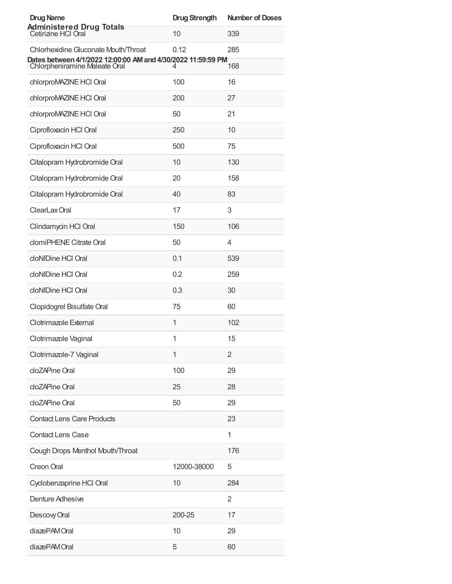| <b>Drug Name</b>                                                                              | <b>Drug Strength</b> | <b>Number of Doses</b> |
|-----------------------------------------------------------------------------------------------|----------------------|------------------------|
| <b>Administered Drug Totals</b><br>Cetirizine HCI Oral                                        | 10                   | 339                    |
| Chlorhexidine Gluconate Mouth/Throat                                                          | 0.12                 | 285                    |
| Dates between 4/1/2022 12:00:00 AM and 4/30/2022 11:59:59 PM<br>Chlorpheniramine Maleate Oral | 4                    | 168                    |
| chlorproMAZINE HCI Oral                                                                       | 100                  | 16                     |
| chlorproMAZINE HCI Oral                                                                       | 200                  | 27                     |
| chlorproMAZINE HCI Oral                                                                       | 50                   | 21                     |
| Ciprofloxacin HCl Oral                                                                        | 250                  | 10                     |
| Ciprofloxacin HCl Oral                                                                        | 500                  | 75                     |
| Citalopram Hydrobromide Oral                                                                  | 10                   | 130                    |
| Citalopram Hydrobromide Oral                                                                  | 20                   | 158                    |
| Citalopram Hydrobromide Oral                                                                  | 40                   | 83                     |
| ClearLax Oral                                                                                 | 17                   | 3                      |
| Clindamycin HCl Oral                                                                          | 150                  | 106                    |
| clomiPHENE Citrate Oral                                                                       | 50                   | 4                      |
| cloNIDine HCI Oral                                                                            | 0.1                  | 539                    |
| cloNIDine HCI Oral                                                                            | 0.2                  | 259                    |
| cloNIDine HCI Oral                                                                            | 0.3                  | 30                     |
| Clopidogrel Bisulfate Oral                                                                    | 75                   | 60                     |
| Clotrimazole External                                                                         | 1                    | 102                    |
| Clotrimazole Vaginal                                                                          | 1                    | 15                     |
| Clotrimazole-7 Vaginal                                                                        | 1                    | 2                      |
| cloZAPine Oral                                                                                | 100                  | 29                     |
| cloZAPine Oral                                                                                | 25                   | 28                     |
| cloZAPine Oral                                                                                | 50                   | 29                     |
| <b>Contact Lens Care Products</b>                                                             |                      | 23                     |
| <b>Contact Lens Case</b>                                                                      |                      | 1                      |
| Cough Drops Menthol Mouth/Throat                                                              |                      | 176                    |
| Creon Oral                                                                                    | 12000-38000          | 5                      |
| Cyclobenzaprine HCl Oral                                                                      | 10                   | 284                    |
| <b>Denture Adhesive</b>                                                                       |                      | $\overline{2}$         |
| Descovy Oral                                                                                  | 200-25               | 17                     |
| diazePAM Oral                                                                                 | 10                   | 29                     |
| diazePAMOral                                                                                  | 5                    | 60                     |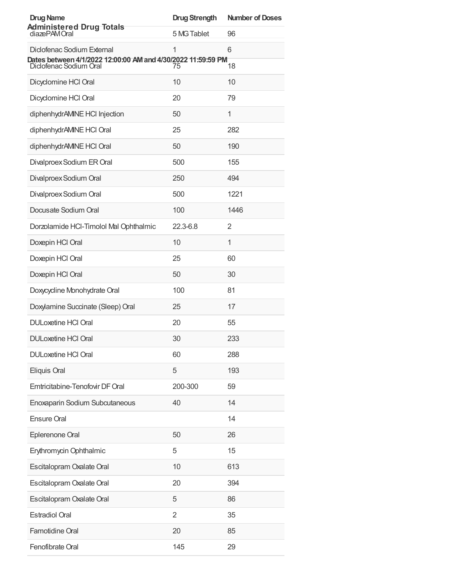| <b>Drug Name</b>                                                                       | <b>Drug Strength</b> | <b>Number of Doses</b> |
|----------------------------------------------------------------------------------------|----------------------|------------------------|
| <b>Administered Drug Totals</b><br>diazePAMOral                                        | 5 MG Tablet          | 96                     |
| Diclofenac Sodium External                                                             | 1                    | 6                      |
| Dates between 4/1/2022 12:00:00 AM and 4/30/2022 11:59:59 PM<br>Diclofenac Sodium Oral | 75                   | 18                     |
| Dicyclomine HCl Oral                                                                   | 10                   | 10                     |
| Dicyclomine HCl Oral                                                                   | 20                   | 79                     |
| diphenhydrAMINE HCI Injection                                                          | 50                   | 1                      |
| diphenhydrAMINE HCl Oral                                                               | 25                   | 282                    |
| diphenhydrAMINE HCl Oral                                                               | 50                   | 190                    |
| Divalproex Sodium ER Oral                                                              | 500                  | 155                    |
| Divalproex Sodium Oral                                                                 | 250                  | 494                    |
| Divalproex Sodium Oral                                                                 | 500                  | 1221                   |
| Docusate Sodium Oral                                                                   | 100                  | 1446                   |
| Dorzolamide HCI-Timolol Mal Ophthalmic                                                 | 22.3-6.8             | 2                      |
| Doxepin HCl Oral                                                                       | 10                   | 1                      |
| Doxepin HCl Oral                                                                       | 25                   | 60                     |
| Doxepin HCl Oral                                                                       | 50                   | 30                     |
| Doxycycline Monohydrate Oral                                                           | 100                  | 81                     |
| Doxylamine Succinate (Sleep) Oral                                                      | 25                   | 17                     |
| <b>DULoxetine HCI Oral</b>                                                             | 20                   | 55                     |
| <b>DULoxetine HCI Oral</b>                                                             | 30                   | 233                    |
| <b>DULoxetine HCI Oral</b>                                                             | 60                   | 288                    |
| Eliquis Oral                                                                           | 5                    | 193                    |
| Emtricitabine-Tenofovir DF Oral                                                        | 200-300              | 59                     |
| Enoxaparin Sodium Subcutaneous                                                         | 40                   | 14                     |
| <b>Ensure Oral</b>                                                                     |                      | 14                     |
| Eplerenone Oral                                                                        | 50                   | 26                     |
| Erythromycin Ophthalmic                                                                | 5                    | 15                     |
| Escitalopram Oxalate Oral                                                              | 10                   | 613                    |
| Escitalopram Oxalate Oral                                                              | 20                   | 394                    |
| Escitalopram Oxalate Oral                                                              | 5                    | 86                     |
| <b>Estradiol Oral</b>                                                                  | $\overline{2}$       | 35                     |
| Famotidine Oral                                                                        | 20                   | 85                     |
| Fenofibrate Oral                                                                       | 145                  | 29                     |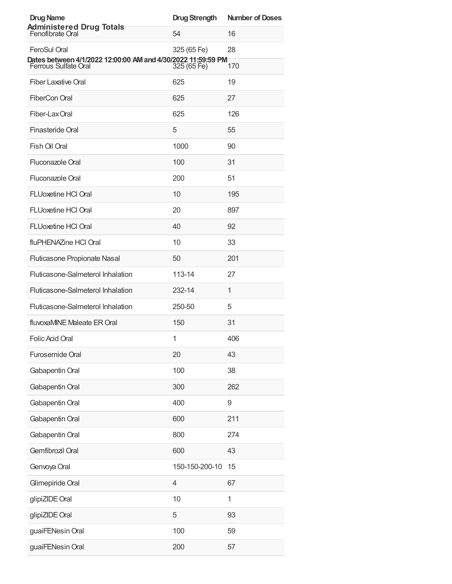| <b>Drug Name</b>                                                                            | <b>Drug Strength</b> | <b>Number of Doses</b> |
|---------------------------------------------------------------------------------------------|----------------------|------------------------|
| <b>Administered Drug Totals</b><br>Fenofibrate Oral                                         | 54                   | 16                     |
| <b>FeroSul Oral</b>                                                                         | 325 (65 Fe)          | 28                     |
| Dates between 4/1/2022 12:00:00 AM and 4/30/2022 11:59:59 PM<br><b>Ferrous Sulfate Oral</b> | 325 (65 Fe)          | 170                    |
| <b>Fiber Laxative Oral</b>                                                                  | 625                  | 19                     |
| FiberCon Oral                                                                               | 625                  | 27                     |
| Fiber-Lax Oral                                                                              | 625                  | 126                    |
| Finasteride Oral                                                                            | 5                    | 55                     |
| Fish Oil Oral                                                                               | 1000                 | 90                     |
| Fluconazole Oral                                                                            | 100                  | 31                     |
| Fluconazole Oral                                                                            | 200                  | 51                     |
| <b>FLUoxetine HCI Oral</b>                                                                  | 10                   | 195                    |
| <b>FLUoxetine HCI Oral</b>                                                                  | 20                   | 897                    |
| <b>FLUoxetine HCI Oral</b>                                                                  | 40                   | 92                     |
| fluPHENAZine HCl Oral                                                                       | 10                   | 33                     |
| Fluticasone Propionate Nasal                                                                | 50                   | 201                    |
| Fluticasone-Salmeterol Inhalation                                                           | 113-14               | 27                     |
| Fluticasone-Salmeterol Inhalation                                                           | 232-14               | 1                      |
| Fluticasone-Salmeterol Inhalation                                                           | 250-50               | 5                      |
| fluvoxaMINE Maleate ER Oral                                                                 | 150                  | 31                     |
| Folic Acid Oral                                                                             | 1                    | 406                    |
| Furosemide Oral                                                                             | 20                   | 43                     |
| Gabapentin Oral                                                                             | 100                  | 38                     |
| Gabapentin Oral                                                                             | 300                  | 262                    |
| Gabapentin Oral                                                                             | 400                  | 9                      |
| Gabapentin Oral                                                                             | 600                  | 211                    |
| Gabapentin Oral                                                                             | 800                  | 274                    |
| Gemfibrozil Oral                                                                            | 600                  | 43                     |
| Genvoya Oral                                                                                | 150-150-200-10       | 15                     |
| Glimepiride Oral                                                                            | $\overline{4}$       | 67                     |
| glipiZIDE Oral                                                                              | 10                   | 1                      |
| glipiZIDE Oral                                                                              | 5                    | 93                     |
| guaiFENesin Oral                                                                            | 100                  | 59                     |
| guaiFENesin Oral                                                                            | 200                  | 57                     |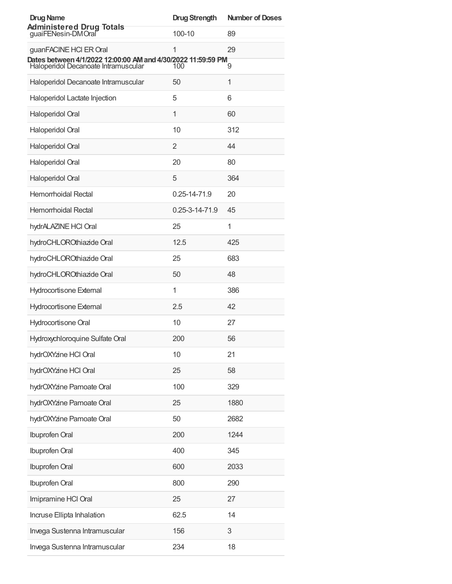| <b>Drug Name</b>                                                                                    | <b>Drug Strength</b> | <b>Number of Doses</b> |
|-----------------------------------------------------------------------------------------------------|----------------------|------------------------|
| <b>Administered Drug Totals</b><br>guaiFENesin-DMOral                                               | $100 - 10$           | 89                     |
| guanFACINE HCI ER Oral                                                                              | 1                    | 29                     |
| Dates between 4/1/2022 12:00:00 AM and 4/30/2022 11:59:59 PM<br>Haloperidol Decanoate Intramuscular | 100                  | 9                      |
| Haloperidol Decanoate Intramuscular                                                                 | 50                   | 1                      |
| Haloperidol Lactate Injection                                                                       | 5                    | 6                      |
| Haloperidol Oral                                                                                    | 1                    | 60                     |
| Haloperidol Oral                                                                                    | 10                   | 312                    |
| Haloperidol Oral                                                                                    | 2                    | 44                     |
| Haloperidol Oral                                                                                    | 20                   | 80                     |
| Haloperidol Oral                                                                                    | 5                    | 364                    |
| Hemorrhoidal Rectal                                                                                 | 0.25-14-71.9         | 20                     |
| Hemorrhoidal Rectal                                                                                 | 0.25-3-14-71.9       | 45                     |
| hydrALAZINE HCI Oral                                                                                | 25                   | 1                      |
| hydroCHLOROthiazide Oral                                                                            | 12.5                 | 425                    |
| hydroCHLOROthiazide Oral                                                                            | 25                   | 683                    |
| hydroCHLOROthiazide Oral                                                                            | 50                   | 48                     |
| <b>Hydrocortisone External</b>                                                                      | $\mathbf{1}$         | 386                    |
| <b>Hydrocortisone External</b>                                                                      | 2.5                  | 42                     |
| Hydrocortisone Oral                                                                                 | 10                   | 27                     |
| Hydroxychloroquine Sulfate Oral                                                                     | 200                  | 56                     |
| hydrOXYzine HCl Oral                                                                                | 10                   | 21                     |
| hydrOXYzine HCl Oral                                                                                | 25                   | 58                     |
| hydrOXYzine Pamoate Oral                                                                            | 100                  | 329                    |
| hydrOXYzine Pamoate Oral                                                                            | 25                   | 1880                   |
| hydrOXYzine Pamoate Oral                                                                            | 50                   | 2682                   |
| Ibuprofen Oral                                                                                      | 200                  | 1244                   |
| Ibuprofen Oral                                                                                      | 400                  | 345                    |
| <b>Ibuprofen Oral</b>                                                                               | 600                  | 2033                   |
| Ibuprofen Oral                                                                                      | 800                  | 290                    |
| Imipramine HCI Oral                                                                                 | 25                   | 27                     |
| Incruse Ellipta Inhalation                                                                          | 62.5                 | 14                     |
| Invega Sustenna Intramuscular                                                                       | 156                  | 3                      |
| Invega Sustenna Intramuscular                                                                       | 234                  | 18                     |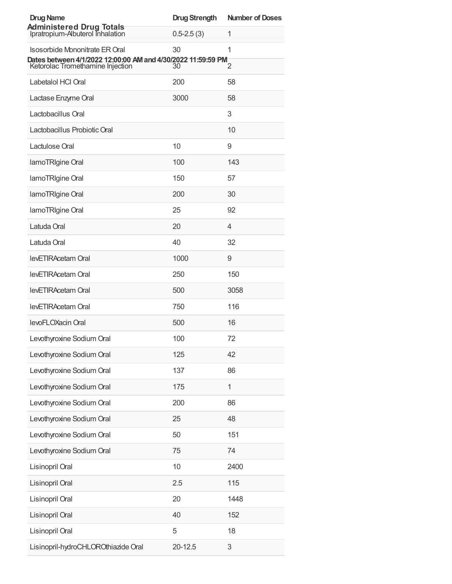| <b>Drug Name</b>                                                                                 | <b>Drug Strength</b> | <b>Number of Doses</b> |
|--------------------------------------------------------------------------------------------------|----------------------|------------------------|
| <b>Administered Drug Totals</b><br>Ipratropium-Albuterol Inhalation                              | $0.5 - 2.5(3)$       | 1                      |
| Isosorbide Mononitrate ER Oral                                                                   | 30                   | 1                      |
| Dates between 4/1/2022 12:00:00 AM and 4/30/2022 11:59:59 PM<br>Ketorolac Tromethamine Injection | 30                   | 2                      |
| Labetalol HCI Oral                                                                               | 200                  | 58                     |
| Lactase Enzyme Oral                                                                              | 3000                 | 58                     |
| Lactobacillus Oral                                                                               |                      | 3                      |
| Lactobacillus Probiotic Oral                                                                     |                      | 10                     |
| Lactulose Oral                                                                                   | 10                   | 9                      |
| lamoTRIgine Oral                                                                                 | 100                  | 143                    |
| lamoTRIgine Oral                                                                                 | 150                  | 57                     |
| lamoTRIgine Oral                                                                                 | 200                  | 30                     |
| lamoTRIgine Oral                                                                                 | 25                   | 92                     |
| Latuda Oral                                                                                      | 20                   | 4                      |
| Latuda Oral                                                                                      | 40                   | 32                     |
| levETIRAcetam Oral                                                                               | 1000                 | 9                      |
| levETIRAcetam Oral                                                                               | 250                  | 150                    |
| levETIRAcetam Oral                                                                               | 500                  | 3058                   |
| levETIRAcetam Oral                                                                               | 750                  | 116                    |
| levoFLOXacin Oral                                                                                | 500                  | 16                     |
| Levothyroxine Sodium Oral                                                                        | 100                  | 72                     |
| Levothyroxine Sodium Oral                                                                        | 125                  | 42                     |
| Levothyroxine Sodium Oral                                                                        | 137                  | 86                     |
| Levothyroxine Sodium Oral                                                                        | 175                  | $\mathbf{1}$           |
| Levothyroxine Sodium Oral                                                                        | 200                  | 86                     |
| Levothyroxine Sodium Oral                                                                        | 25                   | 48                     |
| Levothyroxine Sodium Oral                                                                        | 50                   | 151                    |
| Levothyroxine Sodium Oral                                                                        | 75                   | 74                     |
| Lisinopril Oral                                                                                  | 10                   | 2400                   |
| Lisinopril Oral                                                                                  | 2.5                  | 115                    |
| Lisinopril Oral                                                                                  | 20                   | 1448                   |
| Lisinopril Oral                                                                                  | 40                   | 152                    |
| Lisinopril Oral                                                                                  | 5                    | 18                     |
| Lisinopril-hydroCHLOROthiazide Oral                                                              | 20-12.5              | 3                      |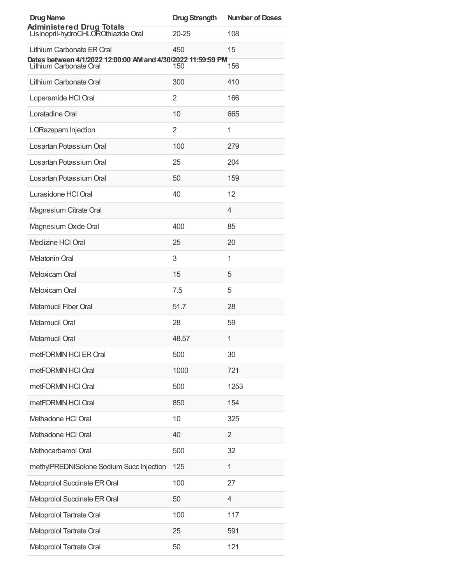| <b>Drug Name</b>                                                                       | <b>Drug Strength</b> | <b>Number of Doses</b> |
|----------------------------------------------------------------------------------------|----------------------|------------------------|
| Administered Drug Totals<br>Lisinopril-hydroCHLOROthiazide Oral                        | $20 - 25$            | 108                    |
| Lithium Carbonate ER Oral                                                              | 450                  | 15                     |
| Dates between 4/1/2022 12:00:00 AM and 4/30/2022 11:59:59 PM<br>Lithium Carbonate Oral | 150                  | 156                    |
| Lithium Carbonate Oral                                                                 | 300                  | 410                    |
| Loperamide HCI Oral                                                                    | 2                    | 166                    |
| Loratadine Oral                                                                        | 10                   | 665                    |
| LORazepam Injection                                                                    | 2                    | 1                      |
| Losartan Potassium Oral                                                                | 100                  | 279                    |
| Losartan Potassium Oral                                                                | 25                   | 204                    |
| Losartan Potassium Oral                                                                | 50                   | 159                    |
| Lurasidone HCI Oral                                                                    | 40                   | 12                     |
| Magnesium Citrate Oral                                                                 |                      | 4                      |
| Magnesium Oxide Oral                                                                   | 400                  | 85                     |
| Meclizine HCI Oral                                                                     | 25                   | 20                     |
| <b>Melatonin Oral</b>                                                                  | 3                    | 1                      |
| Meloxicam Oral                                                                         | 15                   | 5                      |
| Meloxicam Oral                                                                         | 7.5                  | 5                      |
| Metamucil Fiber Oral                                                                   | 51.7                 | 28                     |
| Metamucil Oral                                                                         | 28                   | 59                     |
| Metamucil Oral                                                                         | 48.57                | 1                      |
| metFORMIN HCI ER Oral                                                                  | 500                  | 30                     |
| metFORMIN HCI Oral                                                                     | 1000                 | 721                    |
| metFORMIN HCI Oral                                                                     | 500                  | 1253                   |
| metFORMIN HCI Oral                                                                     | 850                  | 154                    |
| Methadone HCl Oral                                                                     | 10                   | 325                    |
| Methadone HCl Oral                                                                     | 40                   | $\overline{2}$         |
| Methocarbamol Oral                                                                     | 500                  | 32                     |
| methylPREDNISolone Sodium Succ Injection                                               | 125                  | 1                      |
| Metoprolol Succinate ER Oral                                                           | 100                  | 27                     |
| Metoprolol Succinate ER Oral                                                           | 50                   | $\overline{4}$         |
| Metoprolol Tartrate Oral                                                               | 100                  | 117                    |
| Metoprolol Tartrate Oral                                                               | 25                   | 591                    |
| Metoprolol Tartrate Oral                                                               | 50                   | 121                    |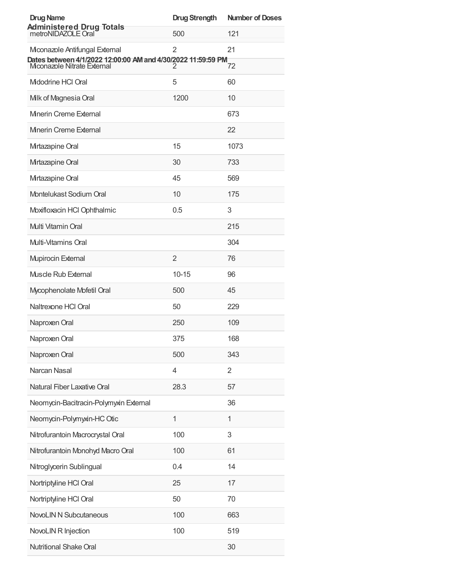| <b>Drug Name</b>                                                                           | <b>Drug Strength</b> | <b>Number of Doses</b> |
|--------------------------------------------------------------------------------------------|----------------------|------------------------|
| <b>Administered Drug Totals</b><br>metroNIDAZOLE Oral                                      | 500                  | 121                    |
| Mconazole Antifungal External                                                              | 2                    | 21                     |
| Dates between 4/1/2022 12:00:00 AM and 4/30/2022 11:59:59 PM<br>Mconazole Nitrate External | 2                    | 72                     |
| Midodrine HCI Oral                                                                         | 5                    | 60                     |
| Milk of Magnesia Oral                                                                      | 1200                 | 10                     |
| Minerin Creme External                                                                     |                      | 673                    |
| Minerin Creme External                                                                     |                      | 22                     |
| Mirtazapine Oral                                                                           | 15                   | 1073                   |
| Mirtazapine Oral                                                                           | 30                   | 733                    |
| Mirtazapine Oral                                                                           | 45                   | 569                    |
| Montelukast Sodium Oral                                                                    | 10                   | 175                    |
| Moxifloxacin HCl Ophthalmic                                                                | 0.5                  | 3                      |
| Multi Vitamin Oral                                                                         |                      | 215                    |
| Multi-Vitamins Oral                                                                        |                      | 304                    |
| <b>Mupirocin External</b>                                                                  | $\overline{2}$       | 76                     |
| <b>Muscle Rub External</b>                                                                 | $10 - 15$            | 96                     |
| Mycophenolate Mofetil Oral                                                                 | 500                  | 45                     |
| Naltrexone HCI Oral                                                                        | 50                   | 229                    |
| Naproxen Oral                                                                              | 250                  | 109                    |
| Naproxen Oral                                                                              | 375                  | 168                    |
| Naproxen Oral                                                                              | 500                  | 343                    |
| Narcan Nasal                                                                               | $\overline{4}$       | $\overline{2}$         |
| Natural Fiber Laxative Oral                                                                | 28.3                 | 57                     |
| Neomycin-Bacitracin-Polymyxin External                                                     |                      | 36                     |
| Neomycin-Polymyxin-HC Otic                                                                 | $\mathbf{1}$         | 1                      |
| Nitrofurantoin Macrocrystal Oral                                                           | 100                  | 3                      |
| Nitrofurantoin Monohyd Macro Oral                                                          | 100                  | 61                     |
| Nitroglycerin Sublingual                                                                   | 0.4                  | 14                     |
| Nortriptyline HCl Oral                                                                     | 25                   | 17                     |
| Nortriptyline HCl Oral                                                                     | 50                   | 70                     |
| <b>NovoLIN N Subcutaneous</b>                                                              | 100                  | 663                    |
| NovoLIN R Injection                                                                        | 100                  | 519                    |
| Nutritional Shake Oral                                                                     |                      | 30                     |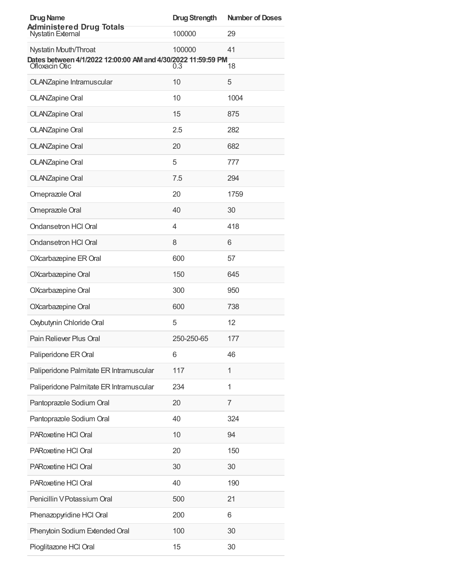| <b>Drug Name</b>                                                               | <b>Drug Strength</b> | <b>Number of Doses</b> |
|--------------------------------------------------------------------------------|----------------------|------------------------|
| <b>Administered Drug Totals</b><br><b>Nystatin External</b>                    | 100000               | 29                     |
| Nystatin Mouth/Throat                                                          | 100000               | 41                     |
| Dates between 4/1/2022 12:00:00 AM and 4/30/2022 11:59:59 PM<br>Ofloxacin Otic | $\overline{0.3}$     | 18                     |
| <b>OLANZapine Intramuscular</b>                                                | 10                   | 5                      |
| <b>OLANZapine Oral</b>                                                         | 10                   | 1004                   |
| <b>OLANZapine Oral</b>                                                         | 15                   | 875                    |
| <b>OLANZapine Oral</b>                                                         | 2.5                  | 282                    |
| <b>OLANZapine Oral</b>                                                         | 20                   | 682                    |
| <b>OLANZapine Oral</b>                                                         | 5                    | 777                    |
| <b>OLANZapine Oral</b>                                                         | 7.5                  | 294                    |
| Omeprazole Oral                                                                | 20                   | 1759                   |
| Omeprazole Oral                                                                | 40                   | 30                     |
| <b>Ondansetron HCI Oral</b>                                                    | 4                    | 418                    |
| <b>Ondansetron HCI Oral</b>                                                    | 8                    | 6                      |
| OXcarbazepine ER Oral                                                          | 600                  | 57                     |
| OXcarbazepine Oral                                                             | 150                  | 645                    |
| OXcarbazepine Oral                                                             | 300                  | 950                    |
| OXcarbazepine Oral                                                             | 600                  | 738                    |
| Oxybutynin Chloride Oral                                                       | 5                    | 12                     |
| Pain Reliever Plus Oral                                                        | 250-250-65           | 177                    |
| Paliperidone ER Oral                                                           | 6                    | 46                     |
| Paliperidone Palmitate ER Intramuscular                                        | 117                  | 1                      |
| Paliperidone Palmitate ER Intramuscular                                        | 234                  | 1                      |
| Pantoprazole Sodium Oral                                                       | 20                   | 7                      |
| Pantoprazole Sodium Oral                                                       | 40                   | 324                    |
| PARoxetine HCI Oral                                                            | 10                   | 94                     |
| PARoxetine HCI Oral                                                            | 20                   | 150                    |
| PARoxetine HCI Oral                                                            | 30                   | 30                     |
| PARoxetine HCl Oral                                                            | 40                   | 190                    |
| Penicillin V Potassium Oral                                                    | 500                  | 21                     |
| Phenazopyridine HCl Oral                                                       | 200                  | 6                      |
| Phenytoin Sodium Extended Oral                                                 | 100                  | 30                     |
| Pioglitazone HCl Oral                                                          | 15                   | 30                     |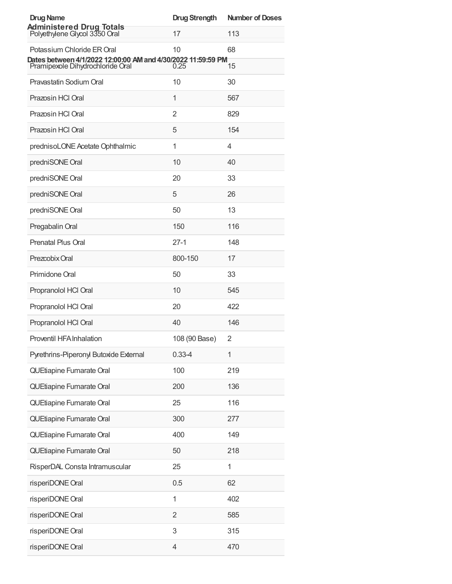| <b>Drug Name</b>                                                                                 | <b>Drug Strength</b> | <b>Number of Doses</b> |
|--------------------------------------------------------------------------------------------------|----------------------|------------------------|
| <b>Administered Drug Totals</b><br>Polyethylene Glycol 3350 Oral                                 | 17                   | 113                    |
| Potassium Chloride ER Oral                                                                       | 10                   | 68                     |
| Dates between 4/1/2022 12:00:00 AM and 4/30/2022 11:59:59 PM<br>Pramipexole Dihydrochloride Oral | 0.25                 | 15                     |
| Pravastatin Sodium Oral                                                                          | 10                   | 30                     |
| Prazosin HCl Oral                                                                                | 1                    | 567                    |
| Prazosin HCI Oral                                                                                | $\overline{2}$       | 829                    |
| Prazosin HCI Oral                                                                                | 5                    | 154                    |
| prednisoLONE Acetate Ophthalmic                                                                  | 1                    | 4                      |
| predniSONE Oral                                                                                  | 10                   | 40                     |
| predniSONE Oral                                                                                  | 20                   | 33                     |
| predniSONE Oral                                                                                  | 5                    | 26                     |
| predniSONE Oral                                                                                  | 50                   | 13                     |
| Pregabalin Oral                                                                                  | 150                  | 116                    |
| Prenatal Plus Oral                                                                               | $27-1$               | 148                    |
| Prezcobix Oral                                                                                   | 800-150              | 17                     |
| Primidone Oral                                                                                   | 50                   | 33                     |
| Propranolol HCl Oral                                                                             | 10                   | 545                    |
| Propranolol HCl Oral                                                                             | 20                   | 422                    |
| Propranolol HCl Oral                                                                             | 40                   | 146                    |
| Proventil HFA Inhalation                                                                         | 108 (90 Base)        | 2                      |
| Pyrethrins-Piperonyl Butoxide External                                                           | $0.33 - 4$           | 1                      |
| QUEtiapine Fumarate Oral                                                                         | 100                  | 219                    |
| QUEtiapine Fumarate Oral                                                                         | 200                  | 136                    |
| QUEtiapine Fumarate Oral                                                                         | 25                   | 116                    |
| QUEtiapine Fumarate Oral                                                                         | 300                  | 277                    |
| QUEtiapine Fumarate Oral                                                                         | 400                  | 149                    |
| QUEtiapine Fumarate Oral                                                                         | 50                   | 218                    |
| RisperDAL Consta Intramuscular                                                                   | 25                   | 1                      |
| risperiDONE Oral                                                                                 | 0.5                  | 62                     |
| risperiDONE Oral                                                                                 | 1                    | 402                    |
| risperiDONE Oral                                                                                 | $\overline{2}$       | 585                    |
| risperiDONE Oral                                                                                 | 3                    | 315                    |
| risperiDONE Oral                                                                                 | 4                    | 470                    |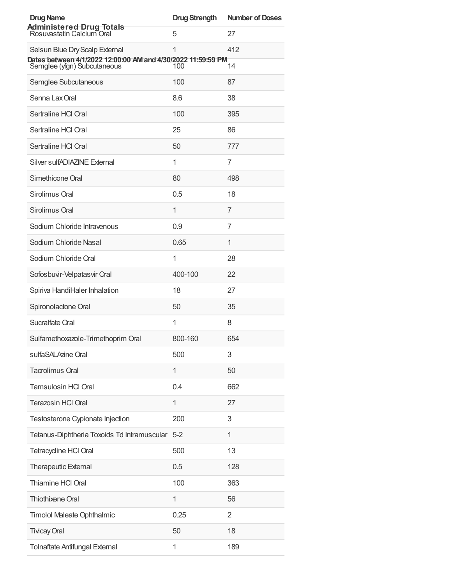| <b>Drug Name</b>                                                                               | <b>Drug Strength</b> | <b>Number of Doses</b> |
|------------------------------------------------------------------------------------------------|----------------------|------------------------|
| <b>Administered Drug Totals</b><br>Rosuvastatin Calcium Oral                                   | 5                    | 27                     |
| Selsun Blue Dry Scalp External<br>Dates between 4/1/2022 12:00:00 AM and 4/30/2022 11:59:59 PM | 1                    | 412                    |
| Semglee (yfgn) Subcutaneous                                                                    | 100                  | 14                     |
| Semglee Subcutaneous                                                                           | 100                  | 87                     |
| Senna Lax Oral                                                                                 | 8.6                  | 38                     |
| Sertraline HCI Oral                                                                            | 100                  | 395                    |
| Sertraline HCI Oral                                                                            | 25                   | 86                     |
| Sertraline HCI Oral                                                                            | 50                   | 777                    |
| Silver sulfADIAZINE External                                                                   | 1                    | 7                      |
| Simethicone Oral                                                                               | 80                   | 498                    |
| Sirolimus Oral                                                                                 | 0.5                  | 18                     |
| Sirolimus Oral                                                                                 | 1                    | 7                      |
| Sodium Chloride Intravenous                                                                    | 0.9                  | 7                      |
| Sodium Chloride Nasal                                                                          | 0.65                 | 1                      |
| Sodium Chloride Oral                                                                           | 1                    | 28                     |
| Sofosbuvir-Velpatasvir Oral                                                                    | 400-100              | 22                     |
| Spiriva HandiHaler Inhalation                                                                  | 18                   | 27                     |
| Spironolactone Oral                                                                            | 50                   | 35                     |
| Sucralfate Oral                                                                                | 1                    | 8                      |
| Sulfamethoxazole-Trimethoprim Oral                                                             | 800-160              | 654                    |
| sulfaSALAzine Oral                                                                             | 500                  | 3                      |
| <b>Tacrolimus Oral</b>                                                                         | 1                    | 50                     |
| <b>Tamsulosin HCI Oral</b>                                                                     | 0.4                  | 662                    |
| Terazosin HCl Oral                                                                             | 1                    | 27                     |
| Testosterone Cypionate Injection                                                               | 200                  | 3                      |
| Tetanus-Diphtheria Toxoids Td Intramuscular 5-2                                                |                      | 1                      |
| <b>Tetracycline HCI Oral</b>                                                                   | 500                  | 13                     |
| <b>Therapeutic External</b>                                                                    | 0.5                  | 128                    |
| Thiamine HCl Oral                                                                              | 100                  | 363                    |
| Thiothixene Oral                                                                               | 1                    | 56                     |
| Timolol Maleate Ophthalmic                                                                     | 0.25                 | 2                      |
| <b>Tivicay Oral</b>                                                                            | 50                   | 18                     |
| <b>Tolnaftate Antifungal External</b>                                                          | 1                    | 189                    |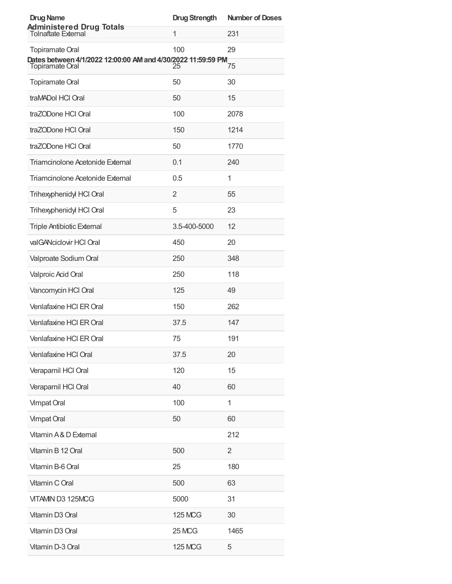| <b>Drug Name</b><br><b>Administered Drug Totals</b><br>Tolnaftate External      | <b>Drug Strength</b> | <b>Number of Doses</b> |
|---------------------------------------------------------------------------------|----------------------|------------------------|
|                                                                                 | $\mathbf{1}$         | 231                    |
| <b>Topiramate Oral</b>                                                          | 100                  | 29                     |
| Dates between 4/1/2022 12:00:00 AM and 4/30/2022 11:59:59 PM<br>Topiramate Oral | 25                   | 75                     |
| <b>Topiramate Oral</b>                                                          | 50                   | 30                     |
| traMADol HCl Oral                                                               | 50                   | 15                     |
| traZODone HCl Oral                                                              | 100                  | 2078                   |
| traZODone HCl Oral                                                              | 150                  | 1214                   |
| traZODone HCl Oral                                                              | 50                   | 1770                   |
| Triamcinolone Acetonide External                                                | 0.1                  | 240                    |
| Triamcinolone Acetonide External                                                | 0.5                  | 1                      |
| Trihexyphenidyl HCl Oral                                                        | 2                    | 55                     |
| Trihexyphenidyl HCl Oral                                                        | 5                    | 23                     |
| <b>Triple Antibiotic External</b>                                               | 3.5-400-5000         | 12                     |
| valGANciclovir HCI Oral                                                         | 450                  | 20                     |
| Valproate Sodium Oral                                                           | 250                  | 348                    |
| Valproic Acid Oral                                                              | 250                  | 118                    |
| Vancomycin HCl Oral                                                             | 125                  | 49                     |
| Venlafaxine HCI ER Oral                                                         | 150                  | 262                    |
| Venlafaxine HCI ER Oral                                                         | 37.5                 | 147                    |
| Venlafaxine HCI ER Oral                                                         | 75                   | 191                    |
| Venlafaxine HCl Oral                                                            | 37.5                 | 20                     |
| Verapamil HCI Oral                                                              | 120                  | 15                     |
| Verapamil HCI Oral                                                              | 40                   | 60                     |
| Vimpat Oral                                                                     | 100                  | 1                      |
| <b>Vimpat Oral</b>                                                              | 50                   | 60                     |
| Vitamin A&D External                                                            |                      | 212                    |
| Vitamin B 12 Oral                                                               | 500                  | 2                      |
| Vitamin B-6 Oral                                                                | 25                   | 180                    |
| Vitamin C Oral                                                                  | 500                  | 63                     |
| VITAMIN D3 125MCG                                                               | 5000                 | 31                     |
| Vitamin D3 Oral                                                                 | <b>125 MCG</b>       | 30                     |
| Vitamin D3 Oral                                                                 | <b>25 MCG</b>        | 1465                   |
| Vitamin D-3 Oral                                                                | <b>125 MCG</b>       | 5                      |